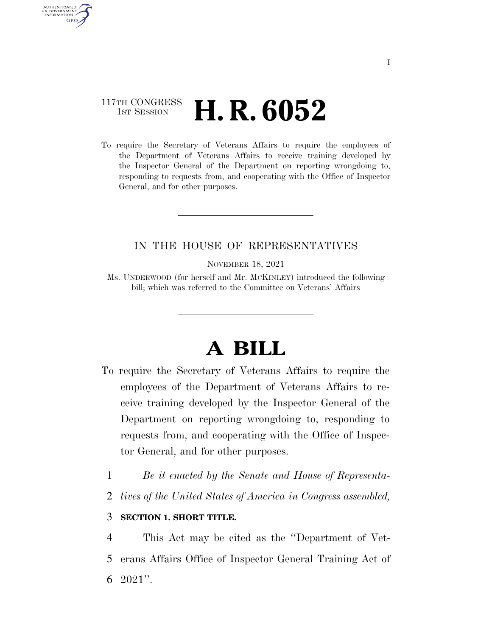### 117TH CONGRESS **1st Session H. R. 6052**

AUTHENTICATED U.S. GOVERNMENT **GPO** 

> To require the Secretary of Veterans Affairs to require the employees of the Department of Veterans Affairs to receive training developed by the Inspector General of the Department on reporting wrongdoing to, responding to requests from, and cooperating with the Office of Inspector General, and for other purposes.

### IN THE HOUSE OF REPRESENTATIVES

NOVEMBER 18, 2021

Ms. UNDERWOOD (for herself and Mr. MCKINLEY) introduced the following bill; which was referred to the Committee on Veterans' Affairs

# **A BILL**

- To require the Secretary of Veterans Affairs to require the employees of the Department of Veterans Affairs to receive training developed by the Inspector General of the Department on reporting wrongdoing to, responding to requests from, and cooperating with the Office of Inspector General, and for other purposes.
	- 1 *Be it enacted by the Senate and House of Representa-*
	- 2 *tives of the United States of America in Congress assembled,*

#### 3 **SECTION 1. SHORT TITLE.**

4 This Act may be cited as the ''Department of Vet-5 erans Affairs Office of Inspector General Training Act of  $6\text{ }2021"$ .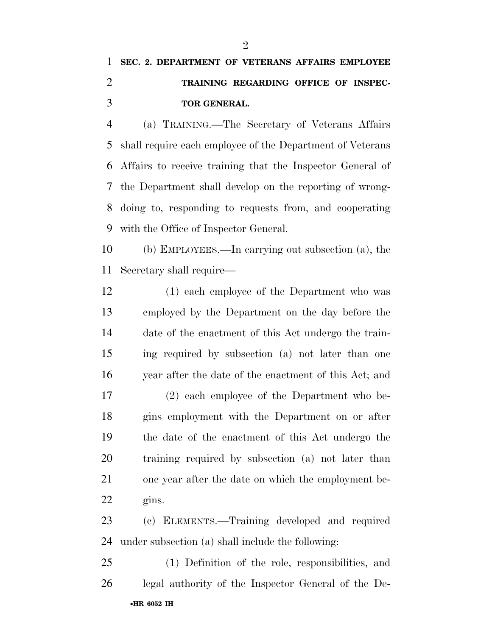## **SEC. 2. DEPARTMENT OF VETERANS AFFAIRS EMPLOYEE TRAINING REGARDING OFFICE OF INSPEC-TOR GENERAL.**

 (a) TRAINING.—The Secretary of Veterans Affairs shall require each employee of the Department of Veterans Affairs to receive training that the Inspector General of the Department shall develop on the reporting of wrong- doing to, responding to requests from, and cooperating with the Office of Inspector General.

 (b) EMPLOYEES.—In carrying out subsection (a), the Secretary shall require—

 (1) each employee of the Department who was employed by the Department on the day before the date of the enactment of this Act undergo the train- ing required by subsection (a) not later than one year after the date of the enactment of this Act; and (2) each employee of the Department who be- gins employment with the Department on or after the date of the enactment of this Act undergo the training required by subsection (a) not later than one year after the date on which the employment be-22 gins.

 (c) ELEMENTS.—Training developed and required under subsection (a) shall include the following:

•**HR 6052 IH** (1) Definition of the role, responsibilities, and legal authority of the Inspector General of the De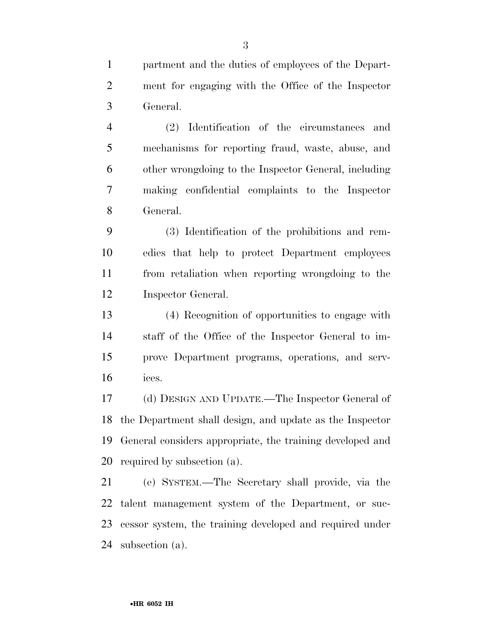partment and the duties of employees of the Depart- ment for engaging with the Office of the Inspector General.

 (2) Identification of the circumstances and mechanisms for reporting fraud, waste, abuse, and other wrongdoing to the Inspector General, including making confidential complaints to the Inspector General.

 (3) Identification of the prohibitions and rem- edies that help to protect Department employees from retaliation when reporting wrongdoing to the Inspector General.

 (4) Recognition of opportunities to engage with staff of the Office of the Inspector General to im- prove Department programs, operations, and serv-ices.

 (d) DESIGN AND UPDATE.—The Inspector General of the Department shall design, and update as the Inspector General considers appropriate, the training developed and required by subsection (a).

 (e) SYSTEM.—The Secretary shall provide, via the talent management system of the Department, or suc- cessor system, the training developed and required under subsection (a).